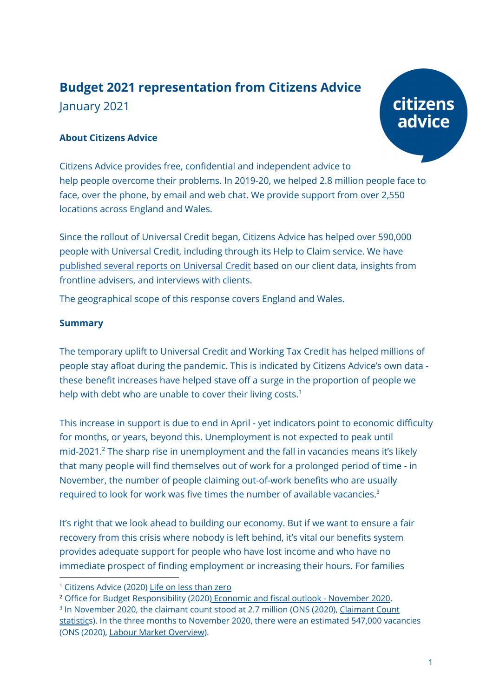## **Budget 2021 representation from Citizens Advice** January 2021

# citizens advice

## **About Citizens Advice**

Citizens Advice provides free, confidential and independent advice to help people overcome their problems. In 2019-20, we helped 2.8 million people face to face, over the phone, by email and web chat. We provide support from over 2,550 locations across England and Wales.

Since the rollout of Universal Credit began, Citizens Advice has helped over 590,000 people with Universal Credit, including through its Help to Claim service. We have [published](https://www.citizensadvice.org.uk/about-us/policy/policy-research-topics/welfare-policy-research-surveys-and-consultation-responses/welfare-policy-research/) several reports on Universal Credit based on our client data, insights from frontline advisers, and interviews with clients.

The geographical scope of this response covers England and Wales.

## **Summary**

The temporary uplift to Universal Credit and Working Tax Credit has helped millions of people stay afloat during the pandemic. This is indicated by Citizens Advice's own data these benefit increases have helped stave off a surge in the proportion of people we help with debt who are unable to cover their living costs.<sup>1</sup>

This increase in support is due to end in April - yet indicators point to economic difficulty for months, or years, beyond this. Unemployment is not expected to peak until mid-2021. <sup>2</sup> The sharp rise in unemployment and the fall in vacancies means it's likely that many people will find themselves out of work for a prolonged period of time - in November, the number of people claiming out-of-work benefits who are usually required to look for work was five times the number of available vacancies. 3

It's right that we look ahead to building our economy. But if we want to ensure a fair recovery from this crisis where nobody is left behind, it's vital our benefits system provides adequate support for people who have lost income and who have no immediate prospect of finding employment or increasing their hours. For families

<sup>&</sup>lt;sup>1</sup> Citizens Advice (2020) Life on less [than](https://www.citizensadvice.org.uk/about-us/policy/policy-research-topics/debt-and-money-policy-research/life-on-less-than-zero/) zero

<sup>&</sup>lt;sup>2</sup> Office for Budget Responsibility (2020<u>) Economic and fiscal outlook - [November](https://obr.uk/efo/economic-and-fiscal-outlook-november-2020/) 2020</u>.

<sup>&</sup>lt;sup>3</sup> In November 2020, the claimant count stood at 2.7 million (ONS (2020), <u>[Claimant](https://www.ons.gov.uk/employmentandlabourmarket/peoplenotinwork/outofworkbenefits/timeseries/bcjd/unem) Count</u> [statistics\)](https://www.ons.gov.uk/employmentandlabourmarket/peoplenotinwork/outofworkbenefits/timeseries/bcjd/unem). In the three months to November 2020, there were an estimated 547,000 vacancies (ONS (2020), Labour Market [Overview](https://www.ons.gov.uk/employmentandlabourmarket/peopleinwork/employmentandemployeetypes/bulletins/uklabourmarket/december2020#vacancies)).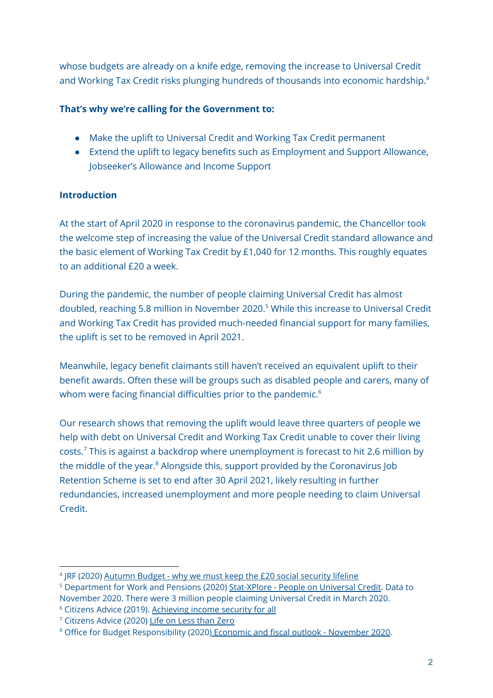whose budgets are already on a knife edge, removing the increase to Universal Credit and Working Tax Credit risks plunging hundreds of thousands into economic hardship. 4

## **That's why we're calling for the Government to:**

- Make the uplift to Universal Credit and Working Tax Credit permanent
- Extend the uplift to legacy benefits such as Employment and Support Allowance, Jobseeker's Allowance and Income Support

## **Introduction**

At the start of April 2020 in response to the coronavirus pandemic, the Chancellor took the welcome step of increasing the value of the Universal Credit standard allowance and the basic element of Working Tax Credit by £1,040 for 12 months. This roughly equates to an additional £20 a week.

During the pandemic, the number of people claiming Universal Credit has almost doubled, reaching 5.8 million in November 2020. <sup>5</sup> While this increase to Universal Credit and Working Tax Credit has provided much-needed financial support for many families, the uplift is set to be removed in April 2021.

Meanwhile, legacy benefit claimants still haven't received an equivalent uplift to their benefit awards. Often these will be groups such as disabled people and carers, many of whom were facing financial difficulties prior to the pandemic. $^6$ 

Our research shows that removing the uplift would leave three quarters of people we help with debt on Universal Credit and Working Tax Credit unable to cover their living costs. $\frac{7}{7}$  This is against a backdrop where unemployment is forecast to hit 2.6 million by the middle of the year. <sup>8</sup> Alongside this, support provided by the Coronavirus Job Retention Scheme is set to end after 30 April 2021, likely resulting in further redundancies, increased unemployment and more people needing to claim Universal Credit.

<sup>&</sup>lt;sup>4</sup> JRF (2020) [Autumn](https://www.jrf.org.uk/report/autumn-budget-why-we-must-keep-20-social-security-lifeline) Budget - why we must keep the £20 social security lifeline

<sup>&</sup>lt;sup>5</sup> Department for Work and Pensions (2020) [Stat-XPlore](https://stat-xplore.dwp.gov.uk/webapi/jsf/tableView/tableView.xhtml) - People on Universal Credit. Data to November 2020. There were 3 million people claiming Universal Credit in March 2020.

<sup>6</sup> Citizens Advice (2019). [Achieving](https://www.citizensadvice.org.uk/about-us/policy/policy-research-topics/welfare-policy-research-surveys-and-consultation-responses/welfare-policy-research/achieving-income-security-for-all/) income security for all

<sup>7</sup> Citizens Advice (2020) Life on Less than [Zero](https://www.citizensadvice.org.uk/about-us/policy/policy-research-topics/welfare-policy-research-surveys-and-consultation-responses/welfare-policy-research/life-on-less-than-zero/)

<sup>&</sup>lt;sup>8</sup> Office for Budget Responsibility (2020<u>) Economic and fiscal outlook - [November](https://obr.uk/efo/economic-and-fiscal-outlook-november-2020/) 2020</u>.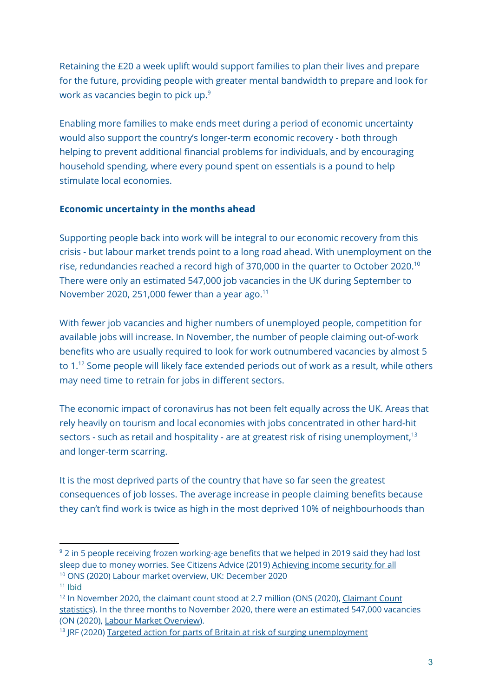Retaining the £20 a week uplift would support families to plan their lives and prepare for the future, providing people with greater mental bandwidth to prepare and look for work as vacancies begin to pick up. 9

Enabling more families to make ends meet during a period of economic uncertainty would also support the country's longer-term economic recovery - both through helping to prevent additional financial problems for individuals, and by encouraging household spending, where every pound spent on essentials is a pound to help stimulate local economies.

## **Economic uncertainty in the months ahead**

Supporting people back into work will be integral to our economic recovery from this crisis - but labour market trends point to a long road ahead. With unemployment on the rise, redundancies reached a record high of 370,000 in the quarter to October 2020.<sup>10</sup> There were only an estimated 547,000 job vacancies in the UK during September to November 2020, 251,000 fewer than a year ago.<sup>11</sup>

With fewer job vacancies and higher numbers of unemployed people, competition for available jobs will increase. In November, the number of people claiming out-of-work benefits who are usually required to look for work outnumbered vacancies by almost 5 to 1. <sup>12</sup> Some people will likely face extended periods out of work as a result, while others may need time to retrain for jobs in different sectors.

The economic impact of coronavirus has not been felt equally across the UK. Areas that rely heavily on tourism and local economies with jobs concentrated in other hard-hit sectors - such as retail and hospitality - are at greatest risk of rising unemployment, $^{\rm 13}$ and longer-term scarring.

It is the most deprived parts of the country that have so far seen the greatest consequences of job losses. The average increase in people claiming benefits because they can't find work is twice as high in the most deprived 10% of neighbourhoods than

<sup>&</sup>lt;sup>9</sup> 2 in 5 people receiving frozen working-age benefits that we helped in 2019 said they had lost sleep due to money worries. See Citizens Advice (2019) [Achieving](https://www.citizensadvice.org.uk/Global/CitizensAdvice/welfare%20publications/Achieving%20income%20security%20for%20all%20(FINAL).pdf) income security for all <sup>10</sup> ONS (2020) Labour market overview, UK: [December](https://www.ons.gov.uk/employmentandlabourmarket/peopleinwork/employmentandemployeetypes/bulletins/uklabourmarket/december2020) 2020

 $11$  Ibid

<sup>&</sup>lt;sup>12</sup> In November 2020, the claimant count stood at 2.7 million (ONS (2020), [Claimant](https://www.ons.gov.uk/employmentandlabourmarket/peoplenotinwork/outofworkbenefits/timeseries/bcjd/unem) Count [statistics\)](https://www.ons.gov.uk/employmentandlabourmarket/peoplenotinwork/outofworkbenefits/timeseries/bcjd/unem). In the three months to November 2020, there were an estimated 547,000 vacancies (ON (2020), Labour Market [Overview\)](https://www.ons.gov.uk/employmentandlabourmarket/peopleinwork/employmentandemployeetypes/bulletins/uklabourmarket/december2020#vacancies).

<sup>&</sup>lt;sup>13</sup> JRF (2020) Targeted action for parts of Britain at risk of surging [unemployment](https://www.jrf.org.uk/blog/targeted-action-parts-britain-risk-surging-unemployment)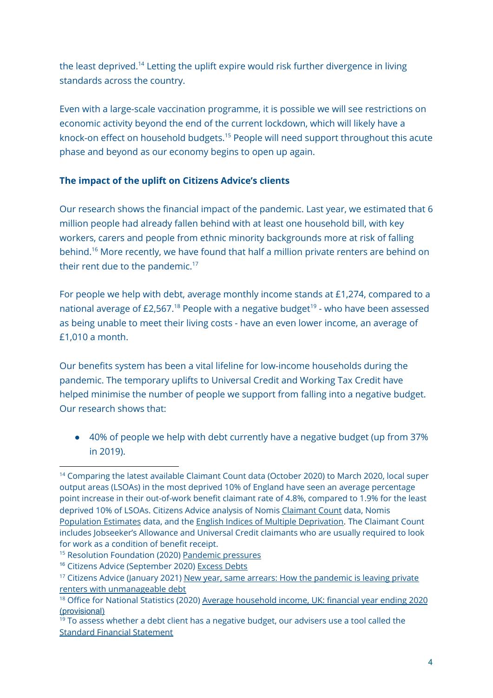the least deprived.<sup>14</sup> Letting the uplift expire would risk further divergence in living standards across the country.

Even with a large-scale vaccination programme, it is possible we will see restrictions on economic activity beyond the end of the current lockdown, which will likely have a knock-on effect on household budgets. <sup>15</sup> People will need support throughout this acute phase and beyond as our economy begins to open up again.

## **The impact of the uplift on Citizens Advice's clients**

Our research shows the financial impact of the pandemic. Last year, we estimated that 6 million people had already fallen behind with at least one household bill, with key workers, carers and people from ethnic minority backgrounds more at risk of falling behind.<sup>16</sup> More recently, we have found that half a million private renters are behind on their rent due to the pandemic. $17$ 

For people we help with debt, average monthly income stands at £1,274, compared to a national average of £2,567.<sup>18</sup> People with a negative budget<sup>19</sup> - who have been assessed as being unable to meet their living costs - have an even lower income, an average of £1,010 a month.

Our benefits system has been a vital lifeline for low-income households during the pandemic. The temporary uplifts to Universal Credit and Working Tax Credit have helped minimise the number of people we support from falling into a negative budget. Our research shows that:

● 40% of people we help with debt currently have a negative budget (up from 37% in 2019).

<sup>&</sup>lt;sup>14</sup> Comparing the latest available Claimant Count data (October 2020) to March 2020, local super output areas (LSOAs) in the most deprived 10% of England have seen an average percentage point increase in their out-of-work benefit claimant rate of 4.8%, compared to 1.9% for the least deprived 10% of LSOAs. Citizens Advice analysis of Nomis [Claimant](https://www.nomisweb.co.uk/sources/cc) Count data, Nomis [Population](https://www.nomisweb.co.uk/query/construct/summary.asp?mode=construct&version=0&dataset=2010) Estimates data, and the English Indices of Multiple [Deprivation](https://www.gov.uk/government/statistics/english-indices-of-deprivation-2019). The Claimant Count includes Jobseeker's Allowance and Universal Credit claimants who are usually required to look for work as a condition of benefit receipt.

<sup>&</sup>lt;sup>15</sup> Resolution Foundation (2020) [Pandemic](https://www.resolutionfoundation.org/publications/pandemic-pressures/) pressures

<sup>&</sup>lt;sup>16</sup> Citizens Advice (September 2020) [Excess](https://www.citizensadvice.org.uk/Global/CitizensAdvice/Debt%20and%20Money%20Publications/Excess%20Debts_who%20has%20fallen%20behind%20on%20their%20household%20bills%20due%20to%20coronavirus%20plus%20methodology).pdf) Debts

 $17$  Citizens Advice (January 2021) New year, same arrears: How the [pandemic](https://www.citizensadvice.org.uk/Global/CitizensAdvice/Housing%20Publications/New%20year,%20same%20arrears.pdf) is leaving private renters with [unmanageable](https://www.citizensadvice.org.uk/Global/CitizensAdvice/Housing%20Publications/New%20year,%20same%20arrears.pdf) debt

<sup>&</sup>lt;sup>18</sup> Office for National Statistics (2020) Average [household](https://www.ons.gov.uk/peoplepopulationandcommunity/personalandhouseholdfinances/incomeandwealth/bulletins/householddisposableincomeandinequality/financialyearending2020provisional) income, UK: financial year ending 2020 [\(provisional\)](https://www.ons.gov.uk/peoplepopulationandcommunity/personalandhouseholdfinances/incomeandwealth/bulletins/householddisposableincomeandinequality/financialyearending2020provisional)

 $19$  To assess whether a debt client has a negative budget, our advisers use a tool called the Standard Financial [Statement](https://sfs.moneyadviceservice.org.uk/en/what-is-the-standard-financial-statement)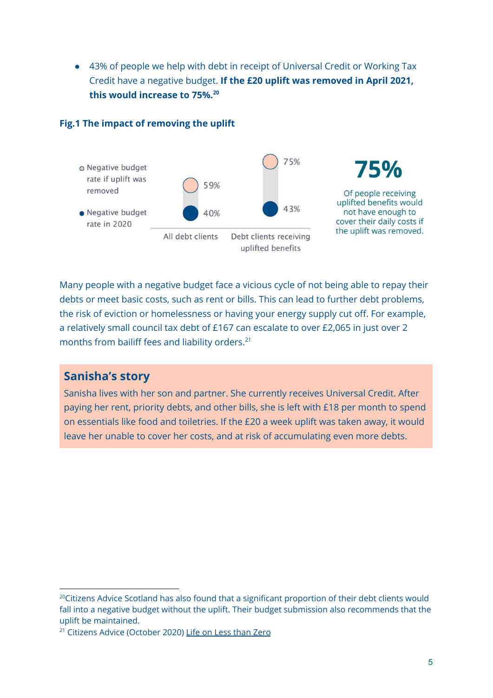● 43% of people we help with debt in receipt of Universal Credit or Working Tax Credit have a negative budget. **If the £20 uplift was removed in April 2021, this would increase to 75%. 20**



#### **Fig.1 The impact of removing the uplift**

Many people with a negative budget face a vicious cycle of not being able to repay their debts or meet basic costs, such as rent or bills. This can lead to further debt problems, the risk of eviction or homelessness or having your energy supply cut off. For example, a relatively small council tax debt of £167 can escalate to over £2,065 in just over 2 months from bailiff fees and liability orders. 21

## **Sanisha's story**

Sanisha lives with her son and partner. She currently receives Universal Credit. After paying her rent, priority debts, and other bills, she is left with £18 per month to spend on essentials like food and toiletries. If the £20 a week uplift was taken away, it would leave her unable to cover her costs, and at risk of accumulating even more debts.

<sup>&</sup>lt;sup>20</sup>Citizens Advice Scotland has also found that a significant proportion of their debt clients would fall into a negative budget without the uplift. Their budget submission also recommends that the uplift be maintained.

<sup>&</sup>lt;sup>21</sup> Citizens Advice (October 2020) Life on Less [than](https://www.citizensadvice.org.uk/about-us/policy/policy-research-topics/debt-and-money-policy-research/life-on-less-than-zero/) Zero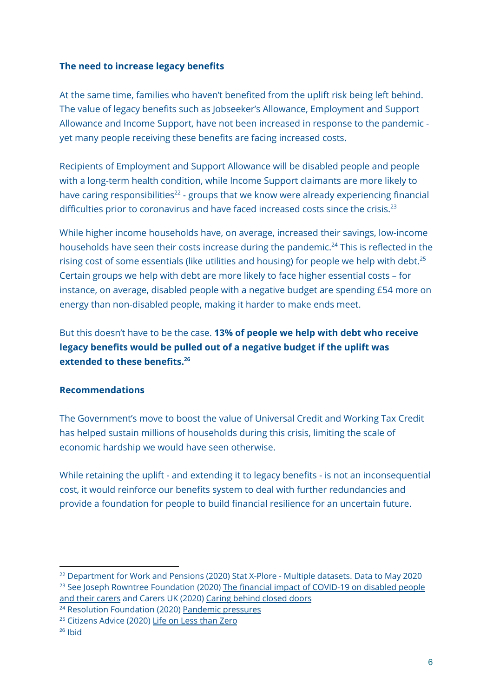#### **The need to increase legacy benefits**

At the same time, families who haven't benefited from the uplift risk being left behind. The value of legacy benefits such as Jobseeker's Allowance, Employment and Support Allowance and Income Support, have not been increased in response to the pandemic yet many people receiving these benefits are facing increased costs.

Recipients of Employment and Support Allowance will be disabled people and people with a long-term health condition, while Income Support claimants are more likely to have caring responsibilities<sup>22</sup> - groups that we know were already experiencing financial difficulties prior to coronavirus and have faced increased costs since the crisis.<sup>23</sup>

While higher income households have, on average, increased their savings, low-income households have seen their costs increase during the pandemic.<sup>24</sup> This is reflected in the rising cost of some essentials (like utilities and housing) for people we help with debt.<sup>25</sup> Certain groups we help with debt are more likely to face higher essential costs – for instance, on average, disabled people with a negative budget are spending £54 more on energy than non-disabled people, making it harder to make ends meet.

But this doesn't have to be the case. **13% of people we help with debt who receive legacy benefits would be pulled out of a negative budget if the uplift was extended to these benefits. 26**

## **Recommendations**

The Government's move to boost the value of Universal Credit and Working Tax Credit has helped sustain millions of households during this crisis, limiting the scale of economic hardship we would have seen otherwise.

While retaining the uplift - and extending it to legacy benefits - is not an inconsequential cost, it would reinforce our benefits system to deal with further redundancies and provide a foundation for people to build financial resilience for an uncertain future.

<sup>&</sup>lt;sup>22</sup> Department for Work and Pensions (2020) Stat X-Plore - Multiple datasets. Data to May 2020

<sup>&</sup>lt;sup>23</sup> See Joseph Rowntree Foundation (2020) The financial impact of [COVID-19](https://www.jrf.org.uk/report/financial-impact-covid-19-disabled-people-and-their-carers) on disabled people and their [carers](https://www.jrf.org.uk/report/financial-impact-covid-19-disabled-people-and-their-carers) and Carers UK (2020) Caring [behind](http://www.carersuk.org/images/News_and_campaigns/Behind_Closed_Doors_2020/Caring_behind_closed_doors_Oct20.pdf) closed doors

<sup>&</sup>lt;sup>24</sup> Resolution Foundation (2020) [Pandemic](https://www.resolutionfoundation.org/publications/pandemic-pressures/) pressures

<sup>&</sup>lt;sup>25</sup> Citizens Advice (2020) Life on Less [than](https://www.citizensadvice.org.uk/about-us/policy/policy-research-topics/welfare-policy-research-surveys-and-consultation-responses/welfare-policy-research/life-on-less-than-zero/) Zero

 $26$  Ibid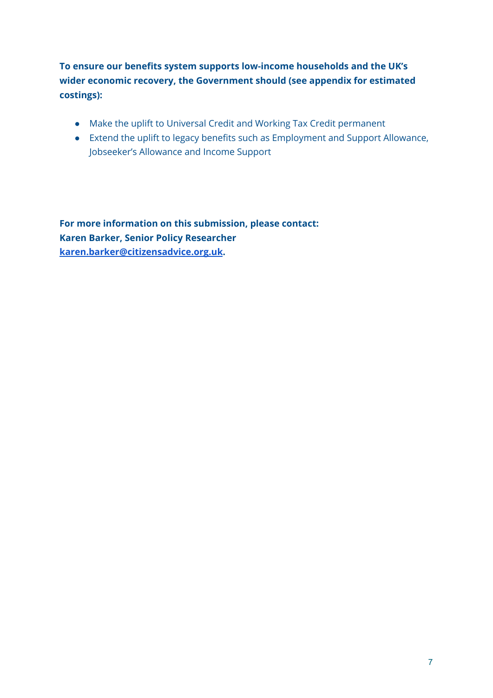**To ensure our benefits system supports low-income households and the UK's wider economic recovery, the Government should (see appendix for estimated costings):**

- Make the uplift to Universal Credit and Working Tax Credit permanent
- Extend the uplift to legacy benefits such as Employment and Support Allowance, Jobseeker's Allowance and Income Support

**For more information on this submission, please contact: Karen Barker, Senior Policy Researcher [karen.barker@citizensadvice.org.uk](mailto:karen.barker@citizensadvice.org.uk).**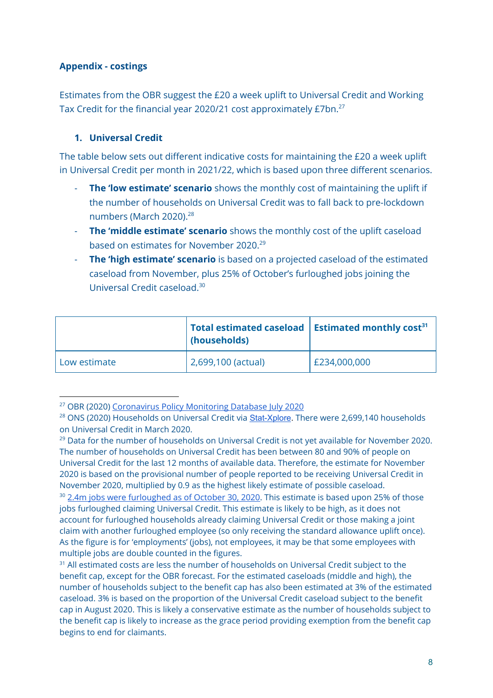## **Appendix - costings**

Estimates from the OBR suggest the £20 a week uplift to Universal Credit and Working Tax Credit for the financial year 2020/21 cost approximately £7bn.<sup>27</sup>

## **1. Universal Credit**

The table below sets out different indicative costs for maintaining the £20 a week uplift in Universal Credit per month in 2021/22, which is based upon three different scenarios.

- **The 'low estimate' scenario** shows the monthly cost of maintaining the uplift if the number of households on Universal Credit was to fall back to pre-lockdown numbers (March 2020). 28
- **The 'middle estimate' scenario** shows the monthly cost of the uplift caseload based on estimates for November 2020. 29
- **The 'high estimate' scenario** is based on a projected caseload of the estimated caseload from November, plus 25% of October's furloughed jobs joining the Universal Credit caseload. 30

|              | Total estimated caseload $\vert$ Estimated monthly cost <sup>31</sup><br>(households) |              |
|--------------|---------------------------------------------------------------------------------------|--------------|
| Low estimate | 2,699,100 (actual)                                                                    | £234,000,000 |

<sup>&</sup>lt;sup>27</sup> OBR (2020) [Coronavirus](https://obr.uk/coronavirus-analysis/) Policy Monitoring Database July 2020

<sup>&</sup>lt;sup>28</sup> ONS (2020) Households on Universal Credit via **[Stat-Xplore](https://stat-xplore.dwp.gov.uk/)**. There were 2,699,140 households on Universal Credit in March 2020.

 $29$  Data for the number of households on Universal Credit is not yet available for November 2020. The number of households on Universal Credit has been between 80 and 90% of people on Universal Credit for the last 12 months of available data. Therefore, the estimate for November 2020 is based on the provisional number of people reported to be receiving Universal Credit in November 2020, multiplied by 0.9 as the highest likely estimate of possible caseload.

<sup>&</sup>lt;sup>30</sup> 2.4m jobs were [furloughed](https://www.gov.uk/government/publications/coronavirus-job-retention-scheme-statistics-december-2020/coronavirus-job-retention-scheme-statistics-december-2020) as of October 30, 2020. This estimate is based upon 25% of those jobs furloughed claiming Universal Credit. This estimate is likely to be high, as it does not account for furloughed households already claiming Universal Credit or those making a joint claim with another furloughed employee (so only receiving the standard allowance uplift once). As the figure is for 'employments' (jobs), not employees, it may be that some employees with multiple jobs are double counted in the figures.

<sup>&</sup>lt;sup>31</sup> All estimated costs are less the number of households on Universal Credit subject to the benefit cap, except for the OBR forecast. For the estimated caseloads (middle and high), the number of households subject to the benefit cap has also been estimated at 3% of the estimated caseload. 3% is based on the proportion of the Universal Credit caseload subject to the benefit cap in August 2020. This is likely a conservative estimate as the number of households subject to the benefit cap is likely to increase as the grace period providing exemption from the benefit cap begins to end for claimants.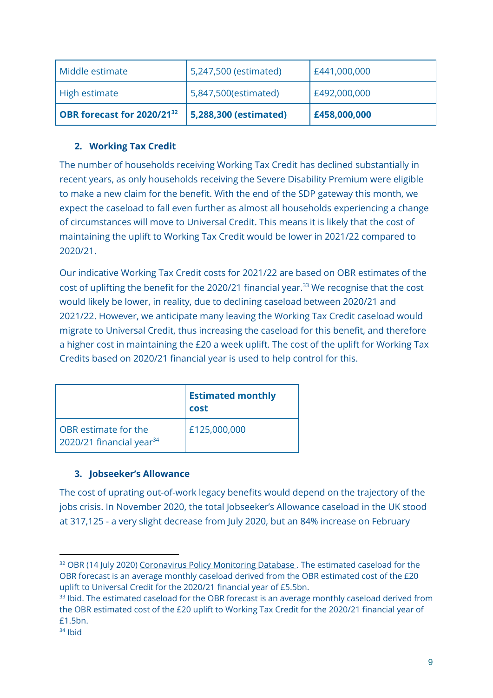| Middle estimate                        | 5,247,500 (estimated) | E441,000,000 |
|----------------------------------------|-----------------------|--------------|
| High estimate                          | 5,847,500(estimated)  | £492,000,000 |
| OBR forecast for 2020/21 <sup>32</sup> | 5,288,300 (estimated) | £458,000,000 |

## **2. Working Tax Credit**

The number of households receiving Working Tax Credit has declined substantially in recent years, as only households receiving the Severe Disability Premium were eligible to make a new claim for the benefit. With the end of the SDP gateway this month, we expect the caseload to fall even further as almost all households experiencing a change of circumstances will move to Universal Credit. This means it is likely that the cost of maintaining the uplift to Working Tax Credit would be lower in 2021/22 compared to 2020/21.

Our indicative Working Tax Credit costs for 2021/22 are based on OBR estimates of the cost of uplifting the benefit for the 2020/21 financial year. <sup>33</sup> We recognise that the cost would likely be lower, in reality, due to declining caseload between 2020/21 and 2021/22. However, we anticipate many leaving the Working Tax Credit caseload would migrate to Universal Credit, thus increasing the caseload for this benefit, and therefore a higher cost in maintaining the £20 a week uplift. The cost of the uplift for Working Tax Credits based on 2020/21 financial year is used to help control for this.

|                                                              | <b>Estimated monthly</b><br>cost |
|--------------------------------------------------------------|----------------------------------|
| OBR estimate for the<br>2020/21 financial year <sup>34</sup> | £125,000,000                     |

## **3. Jobseeker's Allowance**

The cost of uprating out-of-work legacy benefits would depend on the trajectory of the jobs crisis. In November 2020, the total Jobseeker's Allowance caseload in the UK stood at 317,125 - a very slight decrease from July 2020, but an 84% increase on February

<sup>&</sup>lt;sup>32</sup> OBR (14 July 2020) [Coronavirus](https://obr.uk/download/coronavirus-policy-monitoring-database-14-july-2020/) Policy Monitoring Database. The estimated caseload for the OBR forecast is an average monthly caseload derived from the OBR estimated cost of the £20 uplift to Universal Credit for the 2020/21 financial year of £5.5bn.

<sup>&</sup>lt;sup>33</sup> Ibid. The estimated caseload for the OBR forecast is an average monthly caseload derived from the OBR estimated cost of the £20 uplift to Working Tax Credit for the 2020/21 financial year of £1.5bn.

 $34$  Ibid